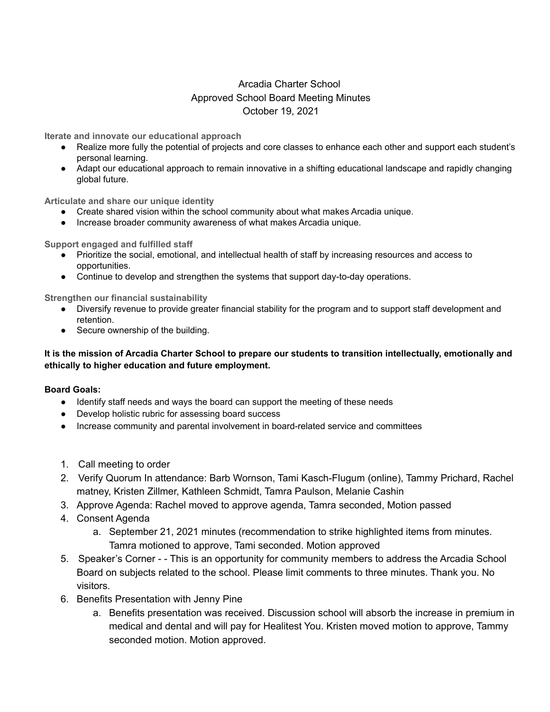# Arcadia Charter School Approved School Board Meeting Minutes October 19, 2021

**Iterate and innovate our educational approach**

- Realize more fully the potential of projects and core classes to enhance each other and support each student's personal learning.
- Adapt our educational approach to remain innovative in a shifting educational landscape and rapidly changing global future.

**Articulate and share our unique identity**

- Create shared vision within the school community about what makes Arcadia unique.
- Increase broader community awareness of what makes Arcadia unique.

**Support engaged and fulfilled staff**

- Prioritize the social, emotional, and intellectual health of staff by increasing resources and access to opportunities.
- Continue to develop and strengthen the systems that support day-to-day operations.

**Strengthen our financial sustainability**

- Diversify revenue to provide greater financial stability for the program and to support staff development and retention.
- Secure ownership of the building.

#### It is the mission of Arcadia Charter School to prepare our students to transition intellectually, emotionally and **ethically to higher education and future employment.**

#### **Board Goals:**

- Identify staff needs and ways the board can support the meeting of these needs
- Develop holistic rubric for assessing board success
- Increase community and parental involvement in board-related service and committees
- 1. Call meeting to order
- 2. Verify Quorum In attendance: Barb Wornson, Tami Kasch-Flugum (online), Tammy Prichard, Rachel matney, Kristen Zillmer, Kathleen Schmidt, Tamra Paulson, Melanie Cashin
- 3. Approve Agenda: Rachel moved to approve agenda, Tamra seconded, Motion passed
- 4. Consent Agenda
	- a. September 21, 2021 minutes (recommendation to strike highlighted items from minutes. Tamra motioned to approve, Tami seconded. Motion approved
- 5. Speaker's Corner - This is an opportunity for community members to address the Arcadia School Board on subjects related to the school. Please limit comments to three minutes. Thank you. No visitors.
- 6. Benefits Presentation with Jenny Pine
	- a. Benefits presentation was received. Discussion school will absorb the increase in premium in medical and dental and will pay for Healitest You. Kristen moved motion to approve, Tammy seconded motion. Motion approved.